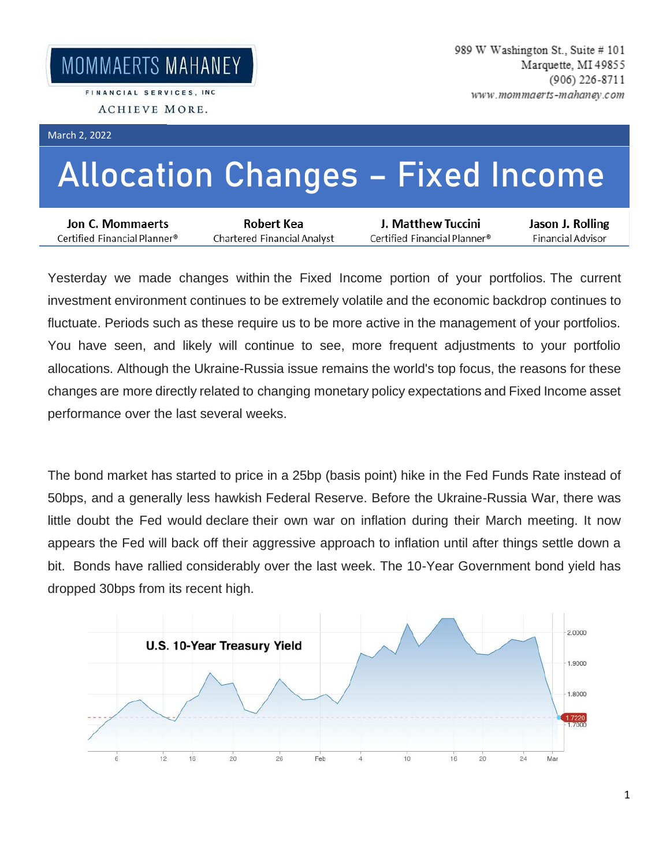## March 2, 2022

## **Allocation Changes – Fixed Income**

| Jon C. Mommaerts             | Robert Kea                  | J. Matthew Tuccini           | Jason J. Rolling  |
|------------------------------|-----------------------------|------------------------------|-------------------|
| Certified Financial Planner® | Chartered Financial Analyst | Certified Financial Planner® | Financial Advisor |

Yesterday we made changes within the Fixed Income portion of your portfolios. The current investment environment continues to be extremely volatile and the economic backdrop continues to fluctuate. Periods such as these require us to be more active in the management of your portfolios. You have seen, and likely will continue to see, more frequent adjustments to your portfolio allocations. Although the Ukraine-Russia issue remains the world's top focus, the reasons for these changes are more directly related to changing monetary policy expectations and Fixed Income asset performance over the last several weeks.

The bond market has started to price in a 25bp (basis point) hike in the Fed Funds Rate instead of 50bps, and a generally less hawkish Federal Reserve. Before the Ukraine-Russia War, there was little doubt the Fed would declare their own war on inflation during their March meeting. It now appears the Fed will back off their aggressive approach to inflation until after things settle down a bit. Bonds have rallied considerably over the last week. The 10-Year Government bond yield has dropped 30bps from its recent high.

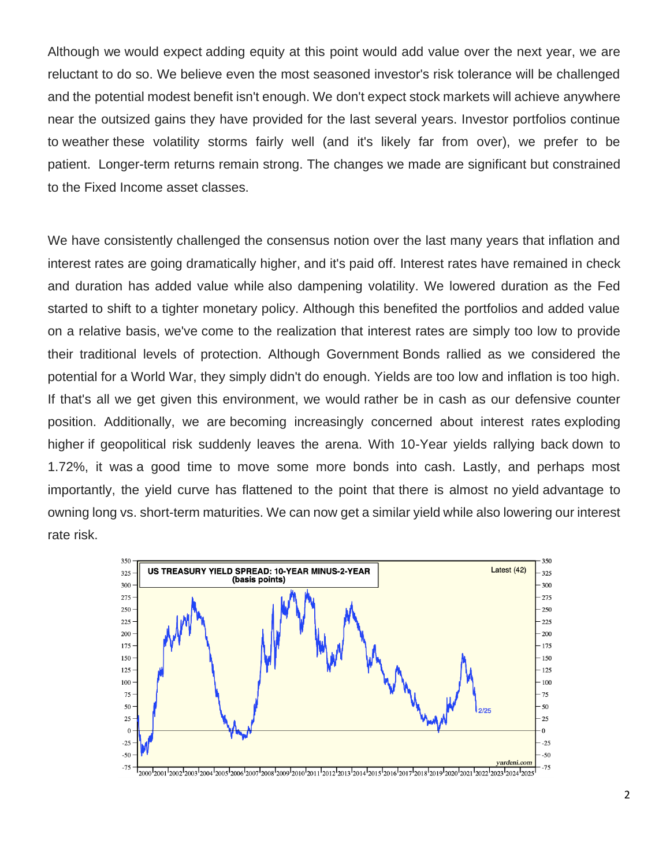Although we would expect adding equity at this point would add value over the next year, we are reluctant to do so. We believe even the most seasoned investor's risk tolerance will be challenged and the potential modest benefit isn't enough. We don't expect stock markets will achieve anywhere near the outsized gains they have provided for the last several years. Investor portfolios continue to weather these volatility storms fairly well (and it's likely far from over), we prefer to be patient. Longer-term returns remain strong. The changes we made are significant but constrained to the Fixed Income asset classes.

We have consistently challenged the consensus notion over the last many years that inflation and interest rates are going dramatically higher, and it's paid off. Interest rates have remained in check and duration has added value while also dampening volatility. We lowered duration as the Fed started to shift to a tighter monetary policy. Although this benefited the portfolios and added value on a relative basis, we've come to the realization that interest rates are simply too low to provide their traditional levels of protection. Although Government Bonds rallied as we considered the potential for a World War, they simply didn't do enough. Yields are too low and inflation is too high. If that's all we get given this environment, we would rather be in cash as our defensive counter position. Additionally, we are becoming increasingly concerned about interest rates exploding higher if geopolitical risk suddenly leaves the arena. With 10-Year yields rallying back down to 1.72%, it was a good time to move some more bonds into cash. Lastly, and perhaps most importantly, the yield curve has flattened to the point that there is almost no yield advantage to owning long vs. short-term maturities. We can now get a similar yield while also lowering our interest rate risk.

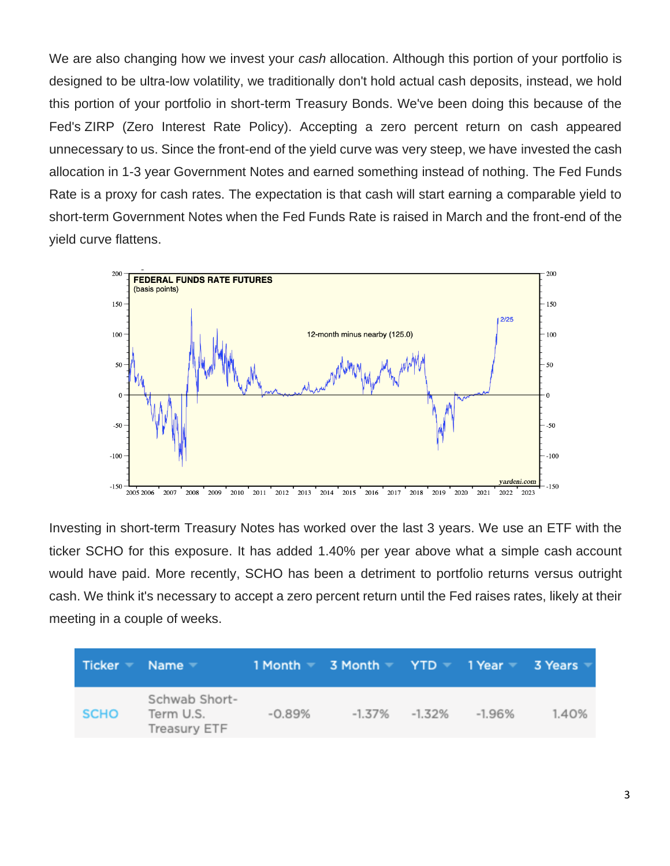We are also changing how we invest your *cash* allocation. Although this portion of your portfolio is designed to be ultra-low volatility, we traditionally don't hold actual cash deposits, instead, we hold this portion of your portfolio in short-term Treasury Bonds. We've been doing this because of the Fed's ZIRP (Zero Interest Rate Policy). Accepting a zero percent return on cash appeared unnecessary to us. Since the front-end of the yield curve was very steep, we have invested the cash allocation in 1-3 year Government Notes and earned something instead of nothing. The Fed Funds Rate is a proxy for cash rates. The expectation is that cash will start earning a comparable yield to short-term Government Notes when the Fed Funds Rate is raised in March and the front-end of the yield curve flattens.



Investing in short-term Treasury Notes has worked over the last 3 years. We use an ETF with the ticker SCHO for this exposure. It has added 1.40% per year above what a simple cash account would have paid. More recently, SCHO has been a detriment to portfolio returns versus outright cash. We think it's necessary to accept a zero percent return until the Fed raises rates, likely at their meeting in a couple of weeks.

| Ticker Name |                                            |          | $1$ Month $\equiv$ 3 Month $\equiv$ YTD $\equiv$ 1 Year $\equiv$ 3 Years |        |       |
|-------------|--------------------------------------------|----------|--------------------------------------------------------------------------|--------|-------|
| <b>SCHO</b> | Schwab Short-<br>Term U.S.<br>Treasury ETF | $-0.89%$ | $-1.37\% -1.32\%$                                                        | -1.96% | 1.40% |